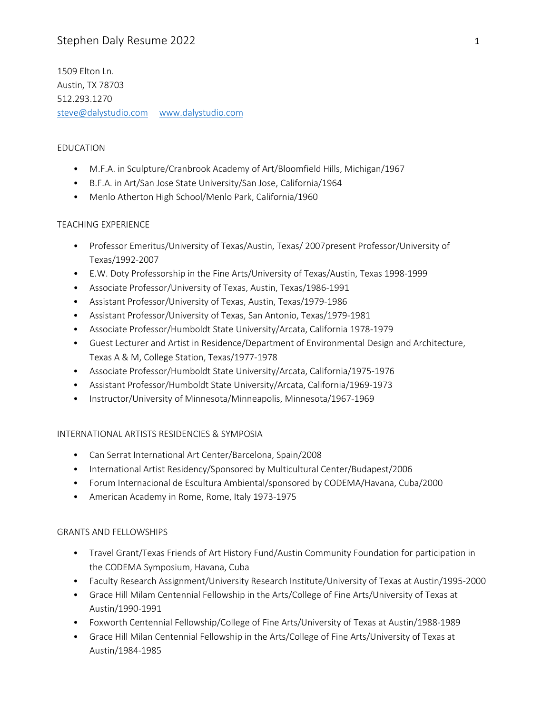# Stephen Daly Resume 2022 1

1509 Elton Ln. Austin, TX 78703 512.293.1270 [steve@dalystudio.com](mailto:steve@daly-studio.com) [www.dalystudio.com](http://www.dalystudio.com/)

### EDUCATION

- M.F.A. in Sculpture/Cranbrook Academy of Art/Bloomfield Hills, Michigan/1967
- B.F.A. in Art/San Jose State University/San Jose, California/1964
- Menlo Atherton High School/Menlo Park, California/1960

#### TEACHING EXPERIENCE

- Professor Emeritus/University of Texas/Austin, Texas/ 2007present Professor/University of Texas/1992-2007
- E.W. Doty Professorship in the Fine Arts/University of Texas/Austin, Texas 1998-1999
- Associate Professor/University of Texas, Austin, Texas/1986-1991
- Assistant Professor/University of Texas, Austin, Texas/1979-1986
- Assistant Professor/University of Texas, San Antonio, Texas/1979-1981
- Associate Professor/Humboldt State University/Arcata, California 1978-1979
- Guest Lecturer and Artist in Residence/Department of Environmental Design and Architecture, Texas A & M, College Station, Texas/1977-1978
- Associate Professor/Humboldt State University/Arcata, California/1975-1976
- Assistant Professor/Humboldt State University/Arcata, California/1969-1973
- Instructor/University of Minnesota/Minneapolis, Minnesota/1967-1969

#### INTERNATIONAL ARTISTS RESIDENCIES & SYMPOSIA

- Can Serrat International Art Center/Barcelona, Spain/2008
- International Artist Residency/Sponsored by Multicultural Center/Budapest/2006
- Forum Internacional de Escultura Ambiental/sponsored by CODEMA/Havana, Cuba/2000
- American Academy in Rome, Rome, Italy 1973-1975

#### GRANTS AND FELLOWSHIPS

- Travel Grant/Texas Friends of Art History Fund/Austin Community Foundation for participation in the CODEMA Symposium, Havana, Cuba
- Faculty Research Assignment/University Research Institute/University of Texas at Austin/1995-2000
- Grace Hill Milam Centennial Fellowship in the Arts/College of Fine Arts/University of Texas at Austin/1990-1991
- Foxworth Centennial Fellowship/College of Fine Arts/University of Texas at Austin/1988-1989
- Grace Hill Milan Centennial Fellowship in the Arts/College of Fine Arts/University of Texas at Austin/1984-1985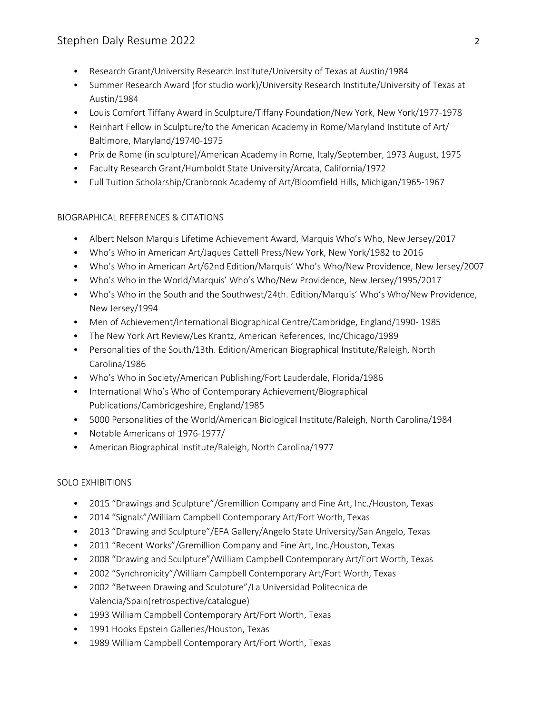# Stephen Daly Resume 2022 2

- Research Grant/University Research Institute/University of Texas at Austin/1984
- Summer Research Award (for studio work)/University Research Institute/University of Texas at Austin/1984
- Louis Comfort Tiffany Award in Sculpture/Tiffany Foundation/New York, New York/1977-1978
- Reinhart Fellow in Sculpture/to the American Academy in Rome/Maryland Institute of Art/ Baltimore, Maryland/19740-1975
- Prix de Rome (in sculpture)/American Academy in Rome, Italy/September, 1973 August, 1975
- Faculty Research Grant/Humboldt State University/Arcata, California/1972
- Full Tuition Scholarship/Cranbrook Academy of Art/Bloomfield Hills, Michigan/1965-1967

## BIOGRAPHICAL REFERENCES & CITATIONS

- Albert Nelson Marquis Lifetime Achievement Award, Marquis Who's Who, New Jersey/2017
- Who's Who in American Art/Jaques Cattell Press/New York, New York/1982 to 2016
- Who's Who in American Art/62nd Edition/Marquis' Who's Who/New Providence, New Jersey/2007
- Who's Who in the World/Marquis' Who's Who/New Providence, New Jersey/1995/2017
- Who's Who in the South and the Southwest/24th. Edition/Marquis' Who's Who/New Providence, New Jersey/1994
- Men of Achievement/International Biographical Centre/Cambridge, England/1990- 1985
- The New York Art Review/Les Krantz, American References, Inc/Chicago/1989
- Personalities of the South/13th. Edition/American Biographical Institute/Raleigh, North Carolina/1986
- Who's Who in Society/American Publishing/Fort Lauderdale, Florida/1986
- International Who's Who of Contemporary Achievement/Biographical Publications/Cambridgeshire, England/1985
- 5000 Personalities of the World/American Biological Institute/Raleigh, North Carolina/1984
- Notable Americans of 1976-1977/
- American Biographical Institute/Raleigh, North Carolina/1977

## SOLO EXHIBITIONS

- 2015 "Drawings and Sculpture"/Gremillion Company and Fine Art, Inc./Houston, Texas
- 2014 "Signals"/William Campbell Contemporary Art/Fort Worth, Texas
- 2013 "Drawing and Sculpture"/EFA Gallery/Angelo State University/San Angelo, Texas
- 2011 "Recent Works"/Gremillion Company and Fine Art, Inc./Houston, Texas
- 2008 "Drawing and Sculpture"/William Campbell Contemporary Art/Fort Worth, Texas
- 2002 "Synchronicity"/William Campbell Contemporary Art/Fort Worth, Texas
- 2002 "Between Drawing and Sculpture"/La Universidad Politecnica de Valencia/Spain(retrospective/catalogue)
- 1993 William Campbell Contemporary Art/Fort Worth, Texas
- 1991 Hooks Epstein Galleries/Houston, Texas
- 1989 William Campbell Contemporary Art/Fort Worth, Texas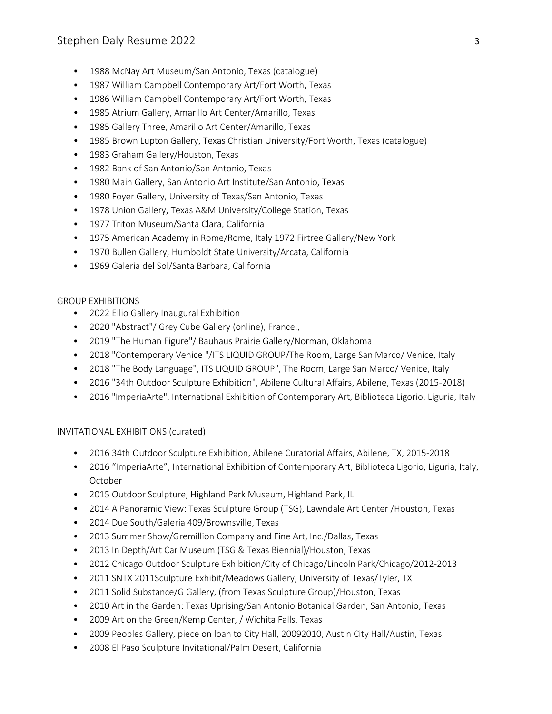- 1988 McNay Art Museum/San Antonio, Texas (catalogue)
- 1987 William Campbell Contemporary Art/Fort Worth, Texas
- 1986 William Campbell Contemporary Art/Fort Worth, Texas
- 1985 Atrium Gallery, Amarillo Art Center/Amarillo, Texas
- 1985 Gallery Three, Amarillo Art Center/Amarillo, Texas
- 1985 Brown Lupton Gallery, Texas Christian University/Fort Worth, Texas (catalogue)
- 1983 Graham Gallery/Houston, Texas
- 1982 Bank of San Antonio/San Antonio, Texas
- 1980 Main Gallery, San Antonio Art Institute/San Antonio, Texas
- 1980 Foyer Gallery, University of Texas/San Antonio, Texas
- 1978 Union Gallery, Texas A&M University/College Station, Texas
- 1977 Triton Museum/Santa Clara, California
- 1975 American Academy in Rome/Rome, Italy 1972 Firtree Gallery/New York
- 1970 Bullen Gallery, Humboldt State University/Arcata, California
- 1969 Galeria del Sol/Santa Barbara, California

## GROUP EXHIBITIONS

- 2022 Ellio Gallery Inaugural Exhibition
- 2020 "Abstract"/ Grey Cube Gallery (online), France.,
- 2019 "The Human Figure"/ Bauhaus Prairie Gallery/Norman, Oklahoma
- 2018 "Contemporary Venice "/ITS LIQUID GROUP/The Room, Large San Marco/ Venice, Italy
- 2018 "The Body Language", ITS LIQUID GROUP", The Room, Large San Marco/ Venice, Italy
- 2016 "34th Outdoor Sculpture Exhibition", Abilene Cultural Affairs, Abilene, Texas (2015-2018)
- 2016 "ImperiaArte", International Exhibition of Contemporary Art, Biblioteca Ligorio, Liguria, Italy

## INVITATIONAL EXHIBITIONS (curated)

- 2016 34th Outdoor Sculpture Exhibition, Abilene Curatorial Affairs, Abilene, TX, 2015-2018
- 2016 "ImperiaArte", International Exhibition of Contemporary Art, Biblioteca Ligorio, Liguria, Italy, October
- 2015 Outdoor Sculpture, Highland Park Museum, Highland Park, IL
- 2014 A Panoramic View: Texas Sculpture Group (TSG), Lawndale Art Center /Houston, Texas
- 2014 Due South/Galeria 409/Brownsville, Texas
- 2013 Summer Show/Gremillion Company and Fine Art, Inc./Dallas, Texas
- 2013 In Depth/Art Car Museum (TSG & Texas Biennial)/Houston, Texas
- 2012 Chicago Outdoor Sculpture Exhibition/City of Chicago/Lincoln Park/Chicago/2012-2013
- 2011 SNTX 2011Sculpture Exhibit/Meadows Gallery, University of Texas/Tyler, TX
- 2011 Solid Substance/G Gallery, (from Texas Sculpture Group)/Houston, Texas
- 2010 Art in the Garden: Texas Uprising/San Antonio Botanical Garden, San Antonio, Texas
- 2009 Art on the Green/Kemp Center, / Wichita Falls, Texas
- 2009 Peoples Gallery, piece on loan to City Hall, 20092010, Austin City Hall/Austin, Texas
- 2008 El Paso Sculpture Invitational/Palm Desert, California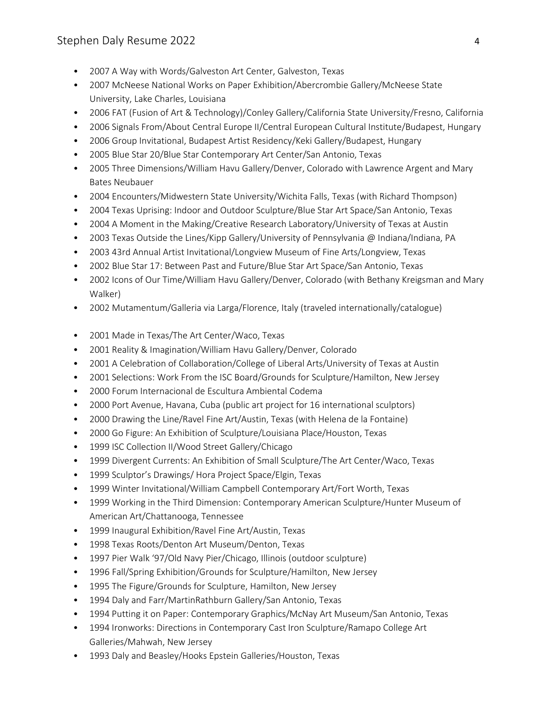- 2007 A Way with Words/Galveston Art Center, Galveston, Texas
- 2007 McNeese National Works on Paper Exhibition/Abercrombie Gallery/McNeese State University, Lake Charles, Louisiana
- 2006 FAT (Fusion of Art & Technology)/Conley Gallery/California State University/Fresno, California
- 2006 Signals From/About Central Europe II/Central European Cultural Institute/Budapest, Hungary
- 2006 Group Invitational, Budapest Artist Residency/Keki Gallery/Budapest, Hungary
- 2005 Blue Star 20/Blue Star Contemporary Art Center/San Antonio, Texas
- 2005 Three Dimensions/William Havu Gallery/Denver, Colorado with Lawrence Argent and Mary Bates Neubauer
- 2004 Encounters/Midwestern State University/Wichita Falls, Texas (with Richard Thompson)
- 2004 Texas Uprising: Indoor and Outdoor Sculpture/Blue Star Art Space/San Antonio, Texas
- 2004 A Moment in the Making/Creative Research Laboratory/University of Texas at Austin
- 2003 Texas Outside the Lines/Kipp Gallery/University of Pennsylvania @ Indiana/Indiana, PA
- 2003 43rd Annual Artist Invitational/Longview Museum of Fine Arts/Longview, Texas
- 2002 Blue Star 17: Between Past and Future/Blue Star Art Space/San Antonio, Texas
- 2002 Icons of Our Time/William Havu Gallery/Denver, Colorado (with Bethany Kreigsman and Mary Walker)
- 2002 Mutamentum/Galleria via Larga/Florence, Italy (traveled internationally/catalogue)
- 2001 Made in Texas/The Art Center/Waco, Texas
- 2001 Reality & Imagination/William Havu Gallery/Denver, Colorado
- 2001 A Celebration of Collaboration/College of Liberal Arts/University of Texas at Austin
- 2001 Selections: Work From the ISC Board/Grounds for Sculpture/Hamilton, New Jersey
- 2000 Forum Internacional de Escultura Ambiental Codema
- 2000 Port Avenue, Havana, Cuba (public art project for 16 international sculptors)
- 2000 Drawing the Line/Ravel Fine Art/Austin, Texas (with Helena de la Fontaine)
- 2000 Go Figure: An Exhibition of Sculpture/Louisiana Place/Houston, Texas
- 1999 ISC Collection II/Wood Street Gallery/Chicago
- 1999 Divergent Currents: An Exhibition of Small Sculpture/The Art Center/Waco, Texas
- 1999 Sculptor's Drawings/ Hora Project Space/Elgin, Texas
- 1999 Winter Invitational/William Campbell Contemporary Art/Fort Worth, Texas
- 1999 Working in the Third Dimension: Contemporary American Sculpture/Hunter Museum of American Art/Chattanooga, Tennessee
- 1999 Inaugural Exhibition/Ravel Fine Art/Austin, Texas
- 1998 Texas Roots/Denton Art Museum/Denton, Texas
- 1997 Pier Walk '97/Old Navy Pier/Chicago, Illinois (outdoor sculpture)
- 1996 Fall/Spring Exhibition/Grounds for Sculpture/Hamilton, New Jersey
- 1995 The Figure/Grounds for Sculpture, Hamilton, New Jersey
- 1994 Daly and Farr/MartinRathburn Gallery/San Antonio, Texas
- 1994 Putting it on Paper: Contemporary Graphics/McNay Art Museum/San Antonio, Texas
- 1994 Ironworks: Directions in Contemporary Cast Iron Sculpture/Ramapo College Art Galleries/Mahwah, New Jersey
- 1993 Daly and Beasley/Hooks Epstein Galleries/Houston, Texas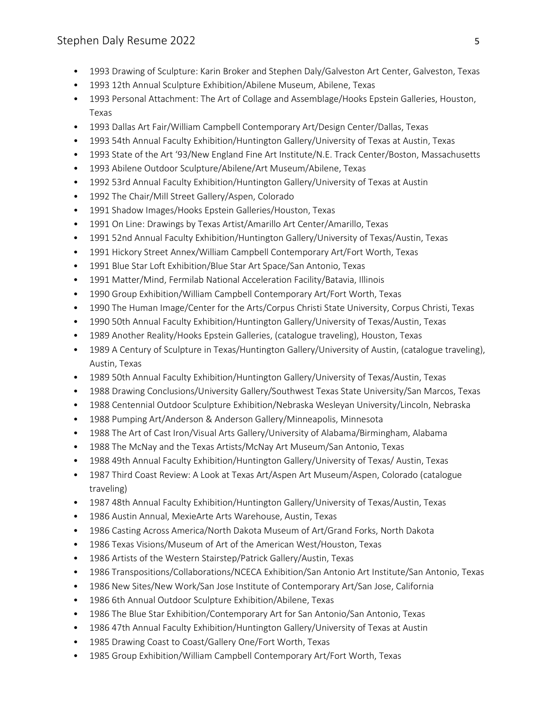- 1993 Drawing of Sculpture: Karin Broker and Stephen Daly/Galveston Art Center, Galveston, Texas
- 1993 12th Annual Sculpture Exhibition/Abilene Museum, Abilene, Texas
- 1993 Personal Attachment: The Art of Collage and Assemblage/Hooks Epstein Galleries, Houston, Texas
- 1993 Dallas Art Fair/William Campbell Contemporary Art/Design Center/Dallas, Texas
- 1993 54th Annual Faculty Exhibition/Huntington Gallery/University of Texas at Austin, Texas
- 1993 State of the Art '93/New England Fine Art Institute/N.E. Track Center/Boston, Massachusetts
- 1993 Abilene Outdoor Sculpture/Abilene/Art Museum/Abilene, Texas
- 1992 53rd Annual Faculty Exhibition/Huntington Gallery/University of Texas at Austin
- 1992 The Chair/Mill Street Gallery/Aspen, Colorado
- 1991 Shadow Images/Hooks Epstein Galleries/Houston, Texas
- 1991 On Line: Drawings by Texas Artist/Amarillo Art Center/Amarillo, Texas
- 1991 52nd Annual Faculty Exhibition/Huntington Gallery/University of Texas/Austin, Texas
- 1991 Hickory Street Annex/William Campbell Contemporary Art/Fort Worth, Texas
- 1991 Blue Star Loft Exhibition/Blue Star Art Space/San Antonio, Texas
- 1991 Matter/Mind, Fermilab National Acceleration Facility/Batavia, Illinois
- 1990 Group Exhibition/William Campbell Contemporary Art/Fort Worth, Texas
- 1990 The Human Image/Center for the Arts/Corpus Christi State University, Corpus Christi, Texas
- 1990 50th Annual Faculty Exhibition/Huntington Gallery/University of Texas/Austin, Texas
- 1989 Another Reality/Hooks Epstein Galleries, (catalogue traveling), Houston, Texas
- 1989 A Century of Sculpture in Texas/Huntington Gallery/University of Austin, (catalogue traveling), Austin, Texas
- 1989 50th Annual Faculty Exhibition/Huntington Gallery/University of Texas/Austin, Texas
- 1988 Drawing Conclusions/University Gallery/Southwest Texas State University/San Marcos, Texas
- 1988 Centennial Outdoor Sculpture Exhibition/Nebraska Wesleyan University/Lincoln, Nebraska
- 1988 Pumping Art/Anderson & Anderson Gallery/Minneapolis, Minnesota
- 1988 The Art of Cast Iron/Visual Arts Gallery/University of Alabama/Birmingham, Alabama
- 1988 The McNay and the Texas Artists/McNay Art Museum/San Antonio, Texas
- 1988 49th Annual Faculty Exhibition/Huntington Gallery/University of Texas/ Austin, Texas
- 1987 Third Coast Review: A Look at Texas Art/Aspen Art Museum/Aspen, Colorado (catalogue traveling)
- 1987 48th Annual Faculty Exhibition/Huntington Gallery/University of Texas/Austin, Texas
- 1986 Austin Annual, MexieArte Arts Warehouse, Austin, Texas
- 1986 Casting Across America/North Dakota Museum of Art/Grand Forks, North Dakota
- 1986 Texas Visions/Museum of Art of the American West/Houston, Texas
- 1986 Artists of the Western Stairstep/Patrick Gallery/Austin, Texas
- 1986 Transpositions/Collaborations/NCECA Exhibition/San Antonio Art Institute/San Antonio, Texas
- 1986 New Sites/New Work/San Jose Institute of Contemporary Art/San Jose, California
- 1986 6th Annual Outdoor Sculpture Exhibition/Abilene, Texas
- 1986 The Blue Star Exhibition/Contemporary Art for San Antonio/San Antonio, Texas
- 1986 47th Annual Faculty Exhibition/Huntington Gallery/University of Texas at Austin
- 1985 Drawing Coast to Coast/Gallery One/Fort Worth, Texas
- 1985 Group Exhibition/William Campbell Contemporary Art/Fort Worth, Texas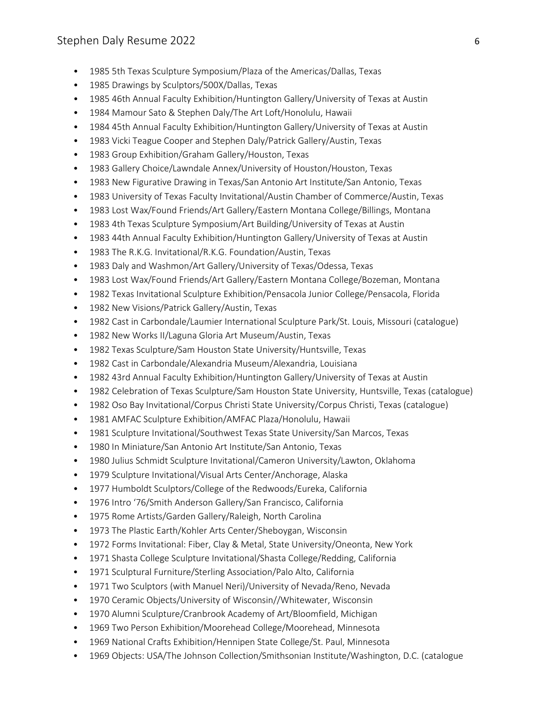- 1985 5th Texas Sculpture Symposium/Plaza of the Americas/Dallas, Texas
- 1985 Drawings by Sculptors/500X/Dallas, Texas
- 1985 46th Annual Faculty Exhibition/Huntington Gallery/University of Texas at Austin
- 1984 Mamour Sato & Stephen Daly/The Art Loft/Honolulu, Hawaii
- 1984 45th Annual Faculty Exhibition/Huntington Gallery/University of Texas at Austin
- 1983 Vicki Teague Cooper and Stephen Daly/Patrick Gallery/Austin, Texas
- 1983 Group Exhibition/Graham Gallery/Houston, Texas
- 1983 Gallery Choice/Lawndale Annex/University of Houston/Houston, Texas
- 1983 New Figurative Drawing in Texas/San Antonio Art Institute/San Antonio, Texas
- 1983 University of Texas Faculty Invitational/Austin Chamber of Commerce/Austin, Texas
- 1983 Lost Wax/Found Friends/Art Gallery/Eastern Montana College/Billings, Montana
- 1983 4th Texas Sculpture Symposium/Art Building/University of Texas at Austin
- 1983 44th Annual Faculty Exhibition/Huntington Gallery/University of Texas at Austin
- 1983 The R.K.G. Invitational/R.K.G. Foundation/Austin, Texas
- 1983 Daly and Washmon/Art Gallery/University of Texas/Odessa, Texas
- 1983 Lost Wax/Found Friends/Art Gallery/Eastern Montana College/Bozeman, Montana
- 1982 Texas Invitational Sculpture Exhibition/Pensacola Junior College/Pensacola, Florida
- 1982 New Visions/Patrick Gallery/Austin, Texas
- 1982 Cast in Carbondale/Laumier International Sculpture Park/St. Louis, Missouri (catalogue)
- 1982 New Works II/Laguna Gloria Art Museum/Austin, Texas
- 1982 Texas Sculpture/Sam Houston State University/Huntsville, Texas
- 1982 Cast in Carbondale/Alexandria Museum/Alexandria, Louisiana
- 1982 43rd Annual Faculty Exhibition/Huntington Gallery/University of Texas at Austin
- 1982 Celebration of Texas Sculpture/Sam Houston State University, Huntsville, Texas (catalogue)
- 1982 Oso Bay Invitational/Corpus Christi State University/Corpus Christi, Texas (catalogue)
- 1981 AMFAC Sculpture Exhibition/AMFAC Plaza/Honolulu, Hawaii
- 1981 Sculpture Invitational/Southwest Texas State University/San Marcos, Texas
- 1980 In Miniature/San Antonio Art Institute/San Antonio, Texas
- 1980 Julius Schmidt Sculpture Invitational/Cameron University/Lawton, Oklahoma
- 1979 Sculpture Invitational/Visual Arts Center/Anchorage, Alaska
- 1977 Humboldt Sculptors/College of the Redwoods/Eureka, California
- 1976 Intro '76/Smith Anderson Gallery/San Francisco, California
- 1975 Rome Artists/Garden Gallery/Raleigh, North Carolina
- 1973 The Plastic Earth/Kohler Arts Center/Sheboygan, Wisconsin
- 1972 Forms Invitational: Fiber, Clay & Metal, State University/Oneonta, New York
- 1971 Shasta College Sculpture Invitational/Shasta College/Redding, California
- 1971 Sculptural Furniture/Sterling Association/Palo Alto, California
- 1971 Two Sculptors (with Manuel Neri)/University of Nevada/Reno, Nevada
- 1970 Ceramic Objects/University of Wisconsin//Whitewater, Wisconsin
- 1970 Alumni Sculpture/Cranbrook Academy of Art/Bloomfield, Michigan
- 1969 Two Person Exhibition/Moorehead College/Moorehead, Minnesota
- 1969 National Crafts Exhibition/Hennipen State College/St. Paul, Minnesota
- 1969 Objects: USA/The Johnson Collection/Smithsonian Institute/Washington, D.C. (catalogue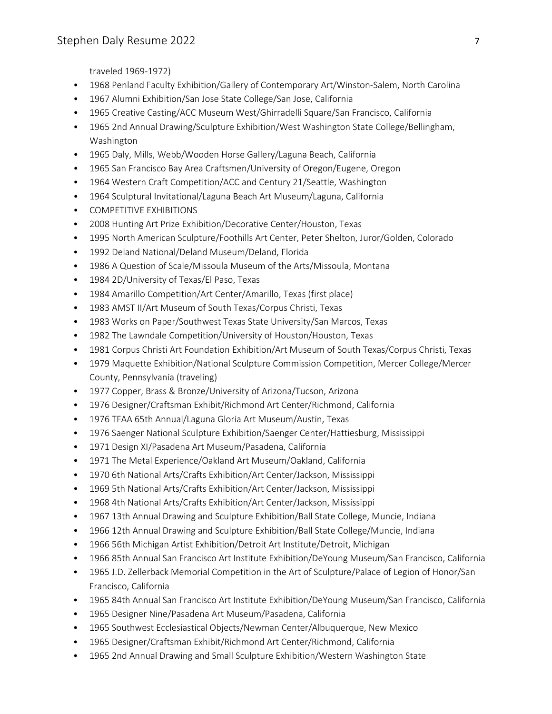traveled 1969-1972)

- 1968 Penland Faculty Exhibition/Gallery of Contemporary Art/Winston-Salem, North Carolina
- 1967 Alumni Exhibition/San Jose State College/San Jose, California
- 1965 Creative Casting/ACC Museum West/Ghirradelli Square/San Francisco, California
- 1965 2nd Annual Drawing/Sculpture Exhibition/West Washington State College/Bellingham, Washington
- 1965 Daly, Mills, Webb/Wooden Horse Gallery/Laguna Beach, California
- 1965 San Francisco Bay Area Craftsmen/University of Oregon/Eugene, Oregon
- 1964 Western Craft Competition/ACC and Century 21/Seattle, Washington
- 1964 Sculptural Invitational/Laguna Beach Art Museum/Laguna, California
- COMPETITIVE EXHIBITIONS
- 2008 Hunting Art Prize Exhibition/Decorative Center/Houston, Texas
- 1995 North American Sculpture/Foothills Art Center, Peter Shelton, Juror/Golden, Colorado
- 1992 Deland National/Deland Museum/Deland, Florida
- 1986 A Question of Scale/Missoula Museum of the Arts/Missoula, Montana
- 1984 2D/University of Texas/El Paso, Texas
- 1984 Amarillo Competition/Art Center/Amarillo, Texas (first place)
- 1983 AMST II/Art Museum of South Texas/Corpus Christi, Texas
- 1983 Works on Paper/Southwest Texas State University/San Marcos, Texas
- 1982 The Lawndale Competition/University of Houston/Houston, Texas
- 1981 Corpus Christi Art Foundation Exhibition/Art Museum of South Texas/Corpus Christi, Texas
- 1979 Maquette Exhibition/National Sculpture Commission Competition, Mercer College/Mercer County, Pennsylvania (traveling)
- 1977 Copper, Brass & Bronze/University of Arizona/Tucson, Arizona
- 1976 Designer/Craftsman Exhibit/Richmond Art Center/Richmond, California
- 1976 TFAA 65th Annual/Laguna Gloria Art Museum/Austin, Texas
- 1976 Saenger National Sculpture Exhibition/Saenger Center/Hattiesburg, Mississippi
- 1971 Design XI/Pasadena Art Museum/Pasadena, California
- 1971 The Metal Experience/Oakland Art Museum/Oakland, California
- 1970 6th National Arts/Crafts Exhibition/Art Center/Jackson, Mississippi
- 1969 5th National Arts/Crafts Exhibition/Art Center/Jackson, Mississippi
- 1968 4th National Arts/Crafts Exhibition/Art Center/Jackson, Mississippi
- 1967 13th Annual Drawing and Sculpture Exhibition/Ball State College, Muncie, Indiana
- 1966 12th Annual Drawing and Sculpture Exhibition/Ball State College/Muncie, Indiana
- 1966 56th Michigan Artist Exhibition/Detroit Art Institute/Detroit, Michigan
- 1966 85th Annual San Francisco Art Institute Exhibition/DeYoung Museum/San Francisco, California
- 1965 J.D. Zellerback Memorial Competition in the Art of Sculpture/Palace of Legion of Honor/San Francisco, California
- 1965 84th Annual San Francisco Art Institute Exhibition/DeYoung Museum/San Francisco, California
- 1965 Designer Nine/Pasadena Art Museum/Pasadena, California
- 1965 Southwest Ecclesiastical Objects/Newman Center/Albuquerque, New Mexico
- 1965 Designer/Craftsman Exhibit/Richmond Art Center/Richmond, California
- 1965 2nd Annual Drawing and Small Sculpture Exhibition/Western Washington State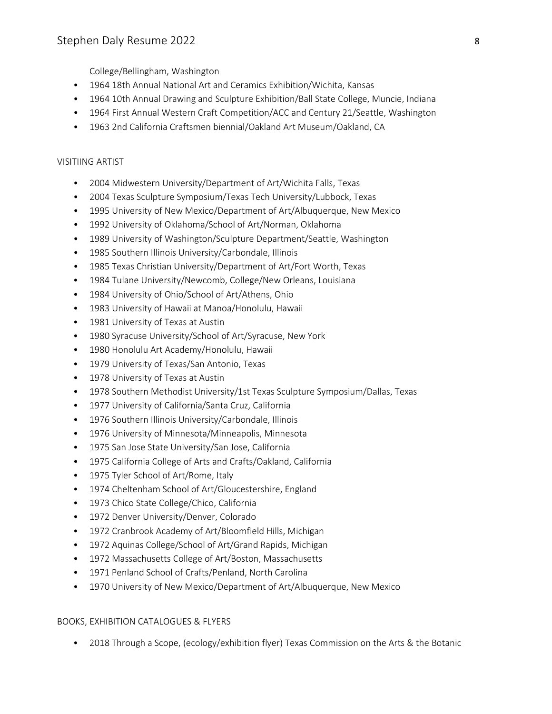College/Bellingham, Washington

- 1964 18th Annual National Art and Ceramics Exhibition/Wichita, Kansas
- 1964 10th Annual Drawing and Sculpture Exhibition/Ball State College, Muncie, Indiana
- 1964 First Annual Western Craft Competition/ACC and Century 21/Seattle, Washington
- 1963 2nd California Craftsmen biennial/Oakland Art Museum/Oakland, CA

## VISITIING ARTIST

- 2004 Midwestern University/Department of Art/Wichita Falls, Texas
- 2004 Texas Sculpture Symposium/Texas Tech University/Lubbock, Texas
- 1995 University of New Mexico/Department of Art/Albuquerque, New Mexico
- 1992 University of Oklahoma/School of Art/Norman, Oklahoma
- 1989 University of Washington/Sculpture Department/Seattle, Washington
- 1985 Southern Illinois University/Carbondale, Illinois
- 1985 Texas Christian University/Department of Art/Fort Worth, Texas
- 1984 Tulane University/Newcomb, College/New Orleans, Louisiana
- 1984 University of Ohio/School of Art/Athens, Ohio
- 1983 University of Hawaii at Manoa/Honolulu, Hawaii
- 1981 University of Texas at Austin
- 1980 Syracuse University/School of Art/Syracuse, New York
- 1980 Honolulu Art Academy/Honolulu, Hawaii
- 1979 University of Texas/San Antonio, Texas
- 1978 University of Texas at Austin
- 1978 Southern Methodist University/1st Texas Sculpture Symposium/Dallas, Texas
- 1977 University of California/Santa Cruz, California
- 1976 Southern Illinois University/Carbondale, Illinois
- 1976 University of Minnesota/Minneapolis, Minnesota
- 1975 San Jose State University/San Jose, California
- 1975 California College of Arts and Crafts/Oakland, California
- 1975 Tyler School of Art/Rome, Italy
- 1974 Cheltenham School of Art/Gloucestershire, England
- 1973 Chico State College/Chico, California
- 1972 Denver University/Denver, Colorado
- 1972 Cranbrook Academy of Art/Bloomfield Hills, Michigan
- 1972 Aquinas College/School of Art/Grand Rapids, Michigan
- 1972 Massachusetts College of Art/Boston, Massachusetts
- 1971 Penland School of Crafts/Penland, North Carolina
- 1970 University of New Mexico/Department of Art/Albuquerque, New Mexico

#### BOOKS, EXHIBITION CATALOGUES & FLYERS

• 2018 Through a Scope, (ecology/exhibition flyer) Texas Commission on the Arts & the Botanic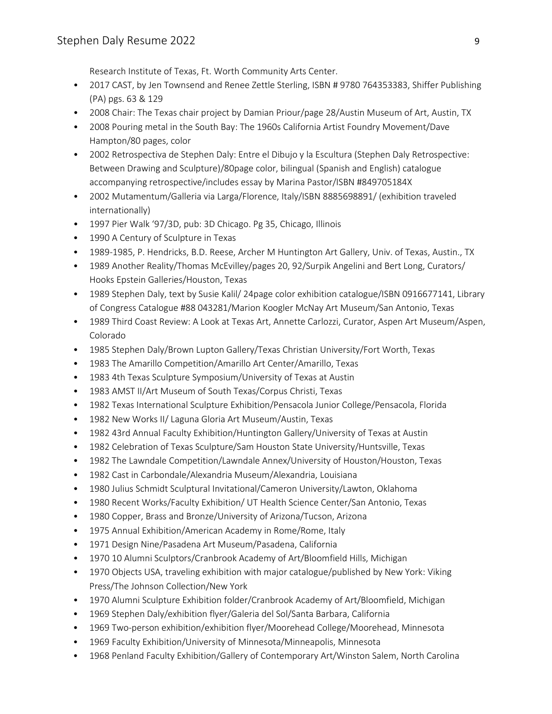Research Institute of Texas, Ft. Worth Community Arts Center.

- 2017 CAST, by Jen Townsend and Renee Zettle Sterling, ISBN # 9780 764353383, Shiffer Publishing (PA) pgs. 63 & 129
- 2008 Chair: The Texas chair project by Damian Priour/page 28/Austin Museum of Art, Austin, TX
- 2008 Pouring metal in the South Bay: The 1960s California Artist Foundry Movement/Dave Hampton/80 pages, color
- 2002 Retrospectiva de Stephen Daly: Entre el Dibujo y la Escultura (Stephen Daly Retrospective: Between Drawing and Sculpture)/80page color, bilingual (Spanish and English) catalogue accompanying retrospective/includes essay by Marina Pastor/ISBN #849705184X
- 2002 Mutamentum/Galleria via Larga/Florence, Italy/ISBN 8885698891/ (exhibition traveled internationally)
- 1997 Pier Walk '97/3D, pub: 3D Chicago. Pg 35, Chicago, Illinois
- 1990 A Century of Sculpture in Texas
- 1989-1985, P. Hendricks, B.D. Reese, Archer M Huntington Art Gallery, Univ. of Texas, Austin., TX
- 1989 Another Reality/Thomas McEvilley/pages 20, 92/Surpik Angelini and Bert Long, Curators/ Hooks Epstein Galleries/Houston, Texas
- 1989 Stephen Daly, text by Susie Kalil/ 24page color exhibition catalogue/ISBN 0916677141, Library of Congress Catalogue #88 043281/Marion Koogler McNay Art Museum/San Antonio, Texas
- 1989 Third Coast Review: A Look at Texas Art, Annette Carlozzi, Curator, Aspen Art Museum/Aspen, Colorado
- 1985 Stephen Daly/Brown Lupton Gallery/Texas Christian University/Fort Worth, Texas
- 1983 The Amarillo Competition/Amarillo Art Center/Amarillo, Texas
- 1983 4th Texas Sculpture Symposium/University of Texas at Austin
- 1983 AMST II/Art Museum of South Texas/Corpus Christi, Texas
- 1982 Texas International Sculpture Exhibition/Pensacola Junior College/Pensacola, Florida
- 1982 New Works II/ Laguna Gloria Art Museum/Austin, Texas
- 1982 43rd Annual Faculty Exhibition/Huntington Gallery/University of Texas at Austin
- 1982 Celebration of Texas Sculpture/Sam Houston State University/Huntsville, Texas
- 1982 The Lawndale Competition/Lawndale Annex/University of Houston/Houston, Texas
- 1982 Cast in Carbondale/Alexandria Museum/Alexandria, Louisiana
- 1980 Julius Schmidt Sculptural Invitational/Cameron University/Lawton, Oklahoma
- 1980 Recent Works/Faculty Exhibition/ UT Health Science Center/San Antonio, Texas
- 1980 Copper, Brass and Bronze/University of Arizona/Tucson, Arizona
- 1975 Annual Exhibition/American Academy in Rome/Rome, Italy
- 1971 Design Nine/Pasadena Art Museum/Pasadena, California
- 1970 10 Alumni Sculptors/Cranbrook Academy of Art/Bloomfield Hills, Michigan
- 1970 Objects USA, traveling exhibition with major catalogue/published by New York: Viking Press/The Johnson Collection/New York
- 1970 Alumni Sculpture Exhibition folder/Cranbrook Academy of Art/Bloomfield, Michigan
- 1969 Stephen Daly/exhibition flyer/Galeria del Sol/Santa Barbara, California
- 1969 Two-person exhibition/exhibition flyer/Moorehead College/Moorehead, Minnesota
- 1969 Faculty Exhibition/University of Minnesota/Minneapolis, Minnesota
- 1968 Penland Faculty Exhibition/Gallery of Contemporary Art/Winston Salem, North Carolina